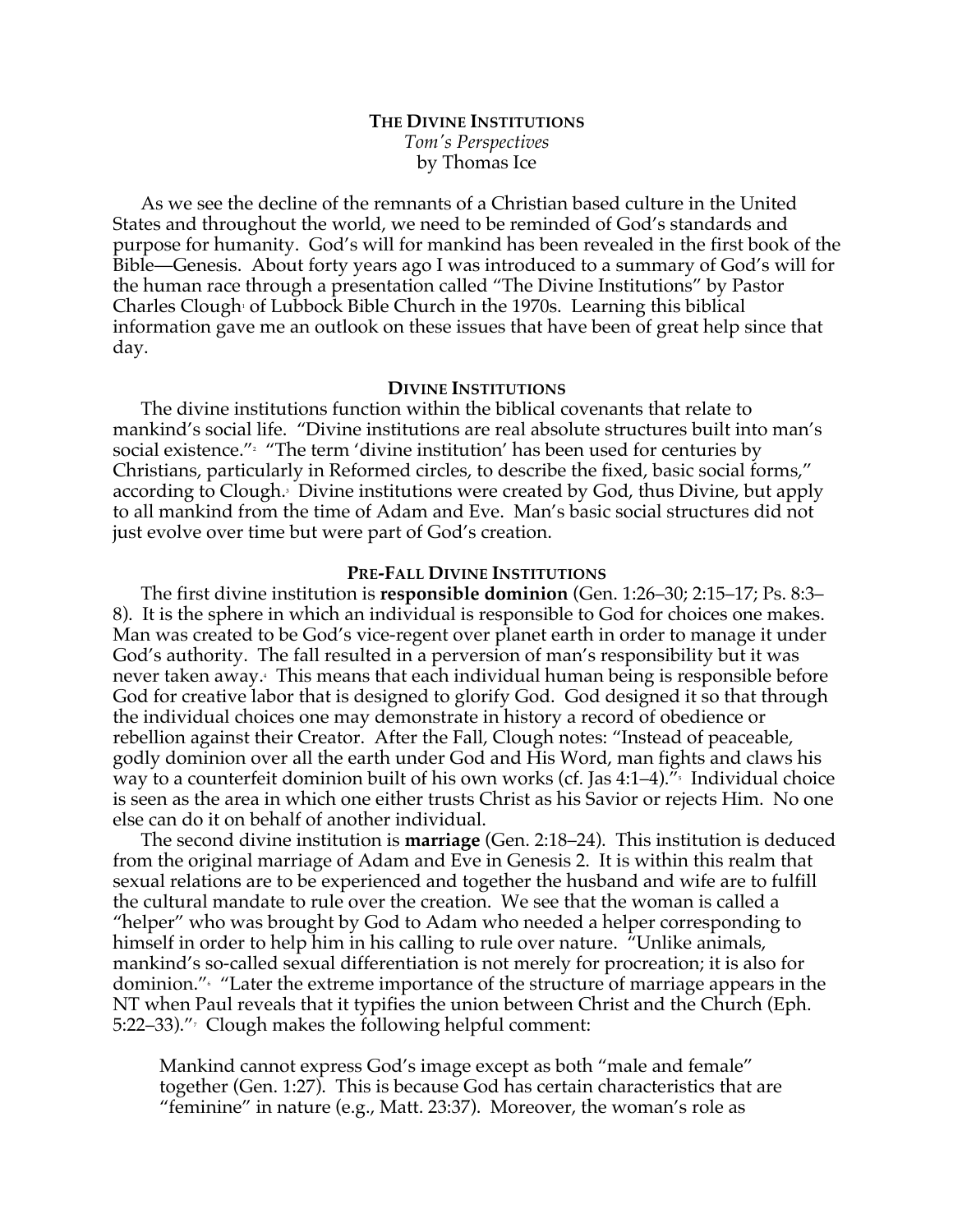# **THE DIVINE INSTITUTIONS** *Tom's Perspectives* by Thomas Ice

As we see the decline of the remnants of a Christian based culture in the United States and throughout the world, we need to be reminded of God's standards and purpose for humanity. God's will for mankind has been revealed in the first book of the Bible—Genesis. About forty years ago I was introduced to a summary of God's will for the human race through a presentation called "The Divine Institutions" by Pastor Charles Clough<sup>1</sup> of Lubbock Bible Church in the 1970s. Learning this biblical information gave me an outlook on these issues that have been of great help since that day.

## **DIVINE INSTITUTIONS**

The divine institutions function within the biblical covenants that relate to mankind's social life. "Divine institutions are real absolute structures built into man's social existence."<sup>2</sup> "The term 'divine institution' has been used for centuries by Christians, particularly in Reformed circles, to describe the fixed, basic social forms," according to Clough.<sup>3</sup> Divine institutions were created by God, thus Divine, but apply to all mankind from the time of Adam and Eve. Man's basic social structures did not just evolve over time but were part of God's creation.

## **PRE-FALL DIVINE INSTITUTIONS**

The first divine institution is **responsible dominion** (Gen. 1:26–30; 2:15–17; Ps. 8:3– 8). It is the sphere in which an individual is responsible to God for choices one makes. Man was created to be God's vice-regent over planet earth in order to manage it under God's authority. The fall resulted in a perversion of man's responsibility but it was never taken away.4 This means that each individual human being is responsible before God for creative labor that is designed to glorify God. God designed it so that through the individual choices one may demonstrate in history a record of obedience or rebellion against their Creator. After the Fall, Clough notes: "Instead of peaceable, godly dominion over all the earth under God and His Word, man fights and claws his way to a counterfeit dominion built of his own works (cf. Jas  $4:1-4$ ).<sup> $\pi$ </sup> Individual choice is seen as the area in which one either trusts Christ as his Savior or rejects Him. No one else can do it on behalf of another individual.

The second divine institution is **marriage** (Gen. 2:18–24). This institution is deduced from the original marriage of Adam and Eve in Genesis 2. It is within this realm that sexual relations are to be experienced and together the husband and wife are to fulfill the cultural mandate to rule over the creation. We see that the woman is called a "helper" who was brought by God to Adam who needed a helper corresponding to himself in order to help him in his calling to rule over nature. "Unlike animals, mankind's so-called sexual differentiation is not merely for procreation; it is also for dominion."6 "Later the extreme importance of the structure of marriage appears in the NT when Paul reveals that it typifies the union between Christ and the Church (Eph. 5:22–33)." $\frac{7}{2}$  Clough makes the following helpful comment:

Mankind cannot express God's image except as both "male and female" together (Gen. 1:27). This is because God has certain characteristics that are "feminine" in nature (e.g., Matt. 23:37). Moreover, the woman's role as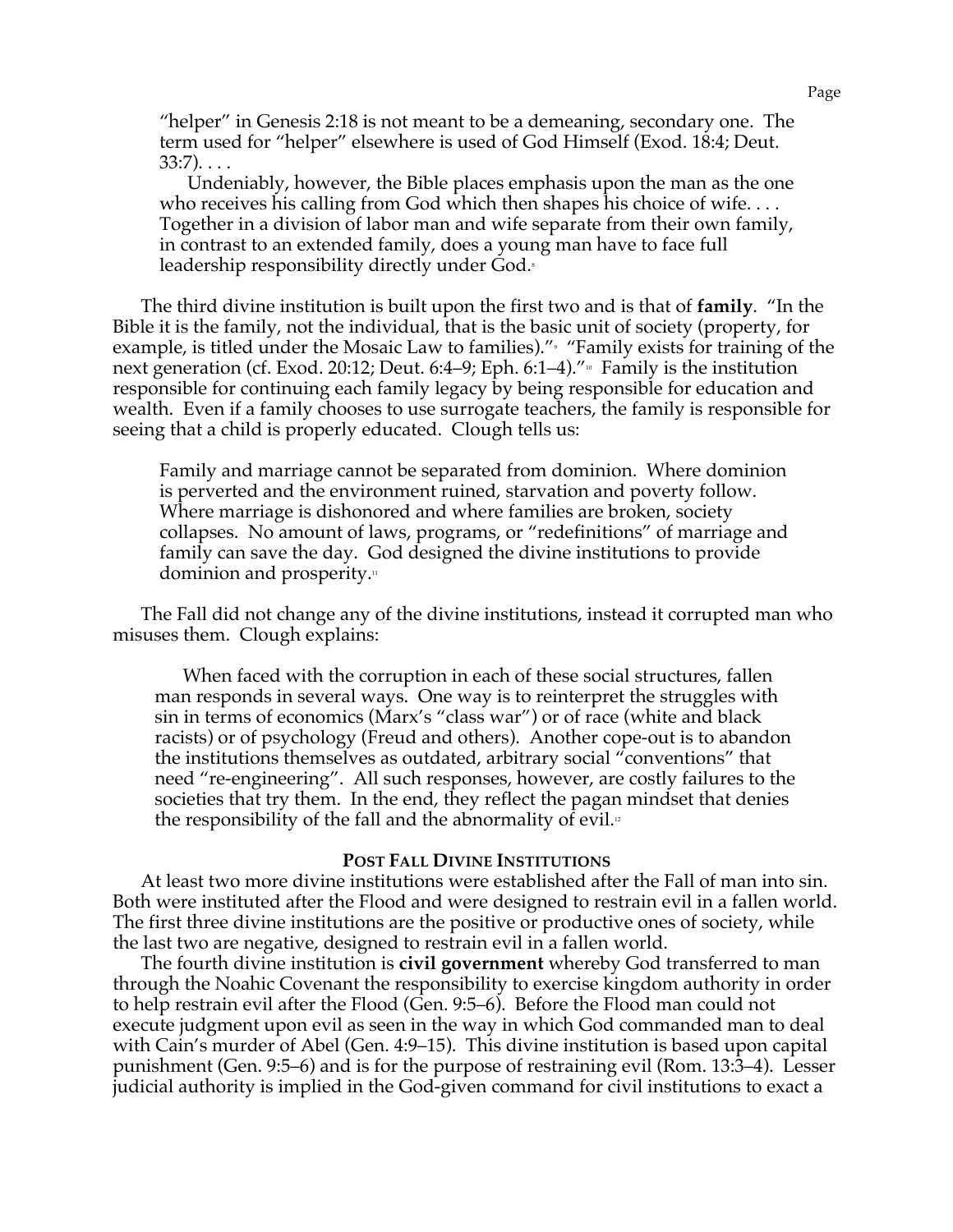"helper" in Genesis 2:18 is not meant to be a demeaning, secondary one. The term used for "helper" elsewhere is used of God Himself (Exod. 18:4; Deut.  $33:7)$ ...

Undeniably, however, the Bible places emphasis upon the man as the one who receives his calling from God which then shapes his choice of wife.... Together in a division of labor man and wife separate from their own family, in contrast to an extended family, does a young man have to face full leadership responsibility directly under God.<sup>8</sup>

The third divine institution is built upon the first two and is that of **family**. "In the Bible it is the family, not the individual, that is the basic unit of society (property, for example, is titled under the Mosaic Law to families)." "Family exists for training of the next generation (cf. Exod. 20:12; Deut. 6:4–9; Eph. 6:1–4)."<sup>10</sup> Family is the institution responsible for continuing each family legacy by being responsible for education and wealth. Even if a family chooses to use surrogate teachers, the family is responsible for seeing that a child is properly educated. Clough tells us:

Family and marriage cannot be separated from dominion. Where dominion is perverted and the environment ruined, starvation and poverty follow. Where marriage is dishonored and where families are broken, society collapses. No amount of laws, programs, or "redefinitions" of marriage and family can save the day. God designed the divine institutions to provide dominion and prosperity.<sup>11</sup>

The Fall did not change any of the divine institutions, instead it corrupted man who misuses them. Clough explains:

When faced with the corruption in each of these social structures, fallen man responds in several ways. One way is to reinterpret the struggles with sin in terms of economics (Marx's "class war") or of race (white and black racists) or of psychology (Freud and others). Another cope-out is to abandon the institutions themselves as outdated, arbitrary social "conventions" that need "re-engineering". All such responses, however, are costly failures to the societies that try them. In the end, they reflect the pagan mindset that denies the responsibility of the fall and the abnormality of evil. $\alpha$ 

### **POST FALL DIVINE INSTITUTIONS**

At least two more divine institutions were established after the Fall of man into sin. Both were instituted after the Flood and were designed to restrain evil in a fallen world. The first three divine institutions are the positive or productive ones of society, while the last two are negative, designed to restrain evil in a fallen world.

The fourth divine institution is **civil government** whereby God transferred to man through the Noahic Covenant the responsibility to exercise kingdom authority in order to help restrain evil after the Flood (Gen. 9:5–6). Before the Flood man could not execute judgment upon evil as seen in the way in which God commanded man to deal with Cain's murder of Abel (Gen. 4:9–15). This divine institution is based upon capital punishment (Gen. 9:5–6) and is for the purpose of restraining evil (Rom. 13:3–4). Lesser judicial authority is implied in the God-given command for civil institutions to exact a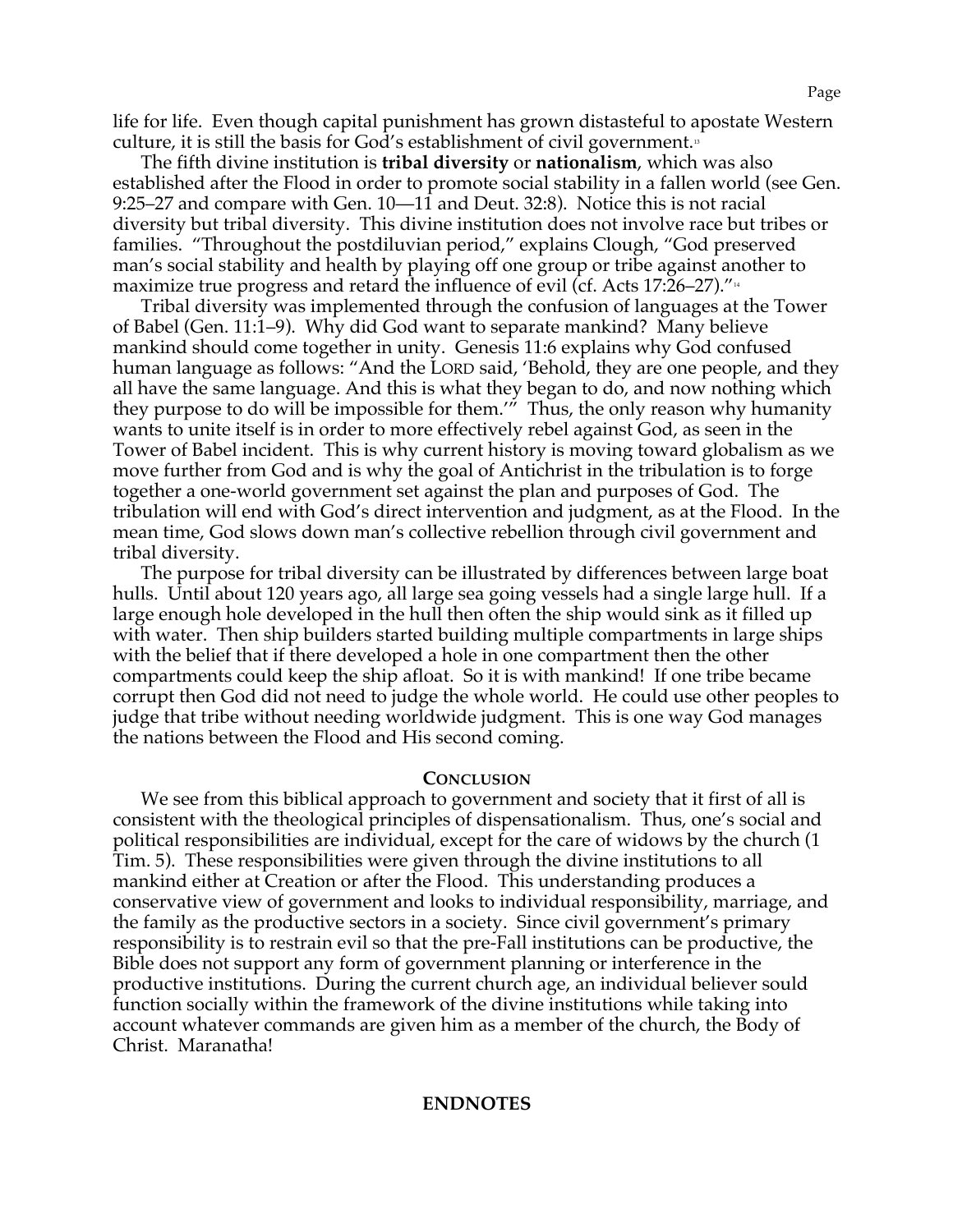life for life. Even though capital punishment has grown distasteful to apostate Western culture, it is still the basis for God's establishment of civil government.<sup>13</sup>

The fifth divine institution is **tribal diversity** or **nationalism**, which was also established after the Flood in order to promote social stability in a fallen world (see Gen. 9:25–27 and compare with Gen. 10—11 and Deut. 32:8). Notice this is not racial diversity but tribal diversity. This divine institution does not involve race but tribes or families. "Throughout the postdiluvian period," explains Clough, "God preserved man's social stability and health by playing off one group or tribe against another to maximize true progress and retard the influence of evil (cf. Acts 17:26–27).<sup> $\mu$ </sup>

Tribal diversity was implemented through the confusion of languages at the Tower of Babel (Gen. 11:1–9). Why did God want to separate mankind? Many believe mankind should come together in unity. Genesis 11:6 explains why God confused human language as follows: "And the LORD said, 'Behold, they are one people, and they all have the same language. And this is what they began to do, and now nothing which they purpose to do will be impossible for them.'" Thus, the only reason why humanity wants to unite itself is in order to more effectively rebel against God, as seen in the Tower of Babel incident. This is why current history is moving toward globalism as we move further from God and is why the goal of Antichrist in the tribulation is to forge together a one-world government set against the plan and purposes of God. The tribulation will end with God's direct intervention and judgment, as at the Flood. In the mean time, God slows down man's collective rebellion through civil government and tribal diversity.

The purpose for tribal diversity can be illustrated by differences between large boat hulls. Until about 120 years ago, all large sea going vessels had a single large hull. If a large enough hole developed in the hull then often the ship would sink as it filled up with water. Then ship builders started building multiple compartments in large ships with the belief that if there developed a hole in one compartment then the other compartments could keep the ship afloat. So it is with mankind! If one tribe became corrupt then God did not need to judge the whole world. He could use other peoples to judge that tribe without needing worldwide judgment. This is one way God manages the nations between the Flood and His second coming.

#### **CONCLUSION**

We see from this biblical approach to government and society that it first of all is consistent with the theological principles of dispensationalism. Thus, one's social and political responsibilities are individual, except for the care of widows by the church (1 Tim. 5). These responsibilities were given through the divine institutions to all mankind either at Creation or after the Flood. This understanding produces a conservative view of government and looks to individual responsibility, marriage, and the family as the productive sectors in a society. Since civil government's primary responsibility is to restrain evil so that the pre-Fall institutions can be productive, the Bible does not support any form of government planning or interference in the productive institutions. During the current church age, an individual believer sould function socially within the framework of the divine institutions while taking into account whatever commands are given him as a member of the church, the Body of Christ. Maranatha!